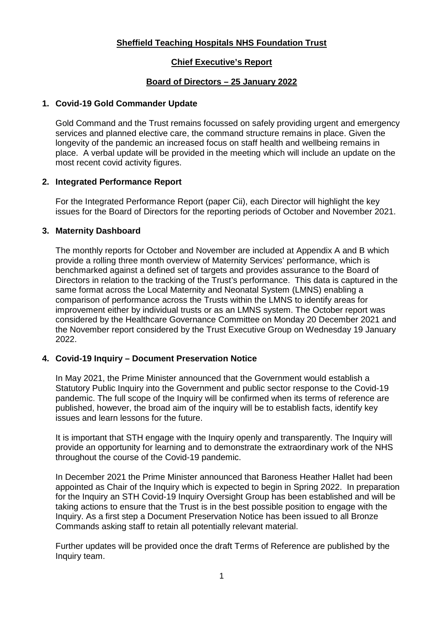#### **Sheffield Teaching Hospitals NHS Foundation Trust**

#### **Chief Executive's Report**

#### **Board of Directors – 25 January 2022**

#### **1. Covid-19 Gold Commander Update**

Gold Command and the Trust remains focussed on safely providing urgent and emergency services and planned elective care, the command structure remains in place. Given the longevity of the pandemic an increased focus on staff health and wellbeing remains in place. A verbal update will be provided in the meeting which will include an update on the most recent covid activity figures.

#### **2. Integrated Performance Report**

For the Integrated Performance Report (paper Cii), each Director will highlight the key issues for the Board of Directors for the reporting periods of October and November 2021.

#### **3. Maternity Dashboard**

The monthly reports for October and November are included at Appendix A and B which provide a rolling three month overview of Maternity Services' performance, which is benchmarked against a defined set of targets and provides assurance to the Board of Directors in relation to the tracking of the Trust's performance. This data is captured in the same format across the Local Maternity and Neonatal System (LMNS) enabling a comparison of performance across the Trusts within the LMNS to identify areas for improvement either by individual trusts or as an LMNS system. The October report was considered by the Healthcare Governance Committee on Monday 20 December 2021 and the November report considered by the Trust Executive Group on Wednesday 19 January 2022.

#### **4. Covid-19 Inquiry – Document Preservation Notice**

In May 2021, the Prime Minister announced that the Government would establish a Statutory Public Inquiry into the Government and public sector response to the Covid-19 pandemic. The full scope of the Inquiry will be confirmed when its terms of reference are published, however, the broad aim of the inquiry will be to establish facts, identify key issues and learn lessons for the future.

It is important that STH engage with the Inquiry openly and transparently. The Inquiry will provide an opportunity for learning and to demonstrate the extraordinary work of the NHS throughout the course of the Covid-19 pandemic.

In December 2021 the Prime Minister announced that Baroness Heather Hallet had been appointed as Chair of the Inquiry which is expected to begin in Spring 2022. In preparation for the Inquiry an STH Covid-19 Inquiry Oversight Group has been established and will be taking actions to ensure that the Trust is in the best possible position to engage with the Inquiry. As a first step a Document Preservation Notice has been issued to all Bronze Commands asking staff to retain all potentially relevant material.

Further updates will be provided once the draft Terms of Reference are published by the Inquiry team.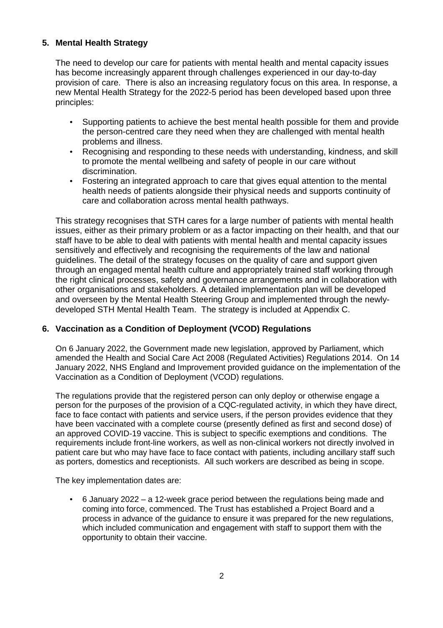#### **5. Mental Health Strategy**

The need to develop our care for patients with mental health and mental capacity issues has become increasingly apparent through challenges experienced in our day-to-day provision of care. There is also an increasing regulatory focus on this area. In response, a new Mental Health Strategy for the 2022-5 period has been developed based upon three principles:

- Supporting patients to achieve the best mental health possible for them and provide the person-centred care they need when they are challenged with mental health problems and illness.
- Recognising and responding to these needs with understanding, kindness, and skill to promote the mental wellbeing and safety of people in our care without discrimination.
- Fostering an integrated approach to care that gives equal attention to the mental health needs of patients alongside their physical needs and supports continuity of care and collaboration across mental health pathways.

This strategy recognises that STH cares for a large number of patients with mental health issues, either as their primary problem or as a factor impacting on their health, and that our staff have to be able to deal with patients with mental health and mental capacity issues sensitively and effectively and recognising the requirements of the law and national guidelines. The detail of the strategy focuses on the quality of care and support given through an engaged mental health culture and appropriately trained staff working through the right clinical processes, safety and governance arrangements and in collaboration with other organisations and stakeholders. A detailed implementation plan will be developed and overseen by the Mental Health Steering Group and implemented through the newlydeveloped STH Mental Health Team. The strategy is included at Appendix C.

#### **6. Vaccination as a Condition of Deployment (VCOD) Regulations**

On 6 January 2022, the Government made new legislation, approved by Parliament, which amended the Health and Social Care Act 2008 (Regulated Activities) Regulations 2014. On 14 January 2022, NHS England and Improvement provided guidance on the implementation of the Vaccination as a Condition of Deployment (VCOD) regulations.

The regulations provide that the registered person can only deploy or otherwise engage a person for the purposes of the provision of a CQC-regulated activity, in which they have direct, face to face contact with patients and service users, if the person provides evidence that they have been vaccinated with a complete course (presently defined as first and second dose) of an approved COVID-19 vaccine. This is subject to specific exemptions and conditions. The requirements include front-line workers, as well as non-clinical workers not directly involved in patient care but who may have face to face contact with patients, including ancillary staff such as porters, domestics and receptionists. All such workers are described as being in scope.

The key implementation dates are:

• 6 January 2022 – a 12-week grace period between the regulations being made and coming into force, commenced. The Trust has established a Project Board and a process in advance of the guidance to ensure it was prepared for the new regulations, which included communication and engagement with staff to support them with the opportunity to obtain their vaccine.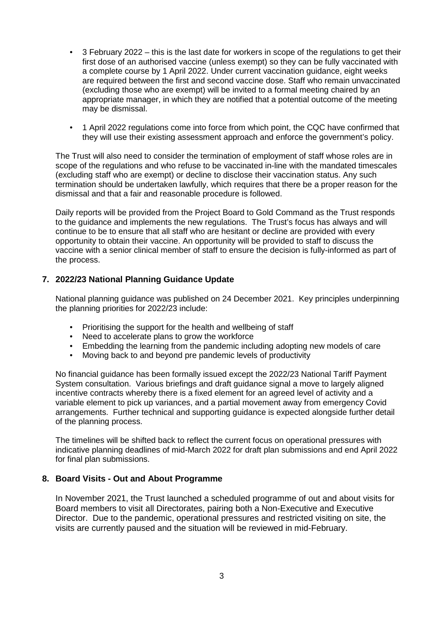- 3 February 2022 this is the last date for workers in scope of the regulations to get their first dose of an authorised vaccine (unless exempt) so they can be fully vaccinated with a complete course by 1 April 2022. Under current vaccination guidance, eight weeks are required between the first and second vaccine dose. Staff who remain unvaccinated (excluding those who are exempt) will be invited to a formal meeting chaired by an appropriate manager, in which they are notified that a potential outcome of the meeting may be dismissal.
- 1 April 2022 regulations come into force from which point, the CQC have confirmed that they will use their existing assessment approach and enforce the government's policy.

The Trust will also need to consider the termination of employment of staff whose roles are in scope of the regulations and who refuse to be vaccinated in-line with the mandated timescales (excluding staff who are exempt) or decline to disclose their vaccination status. Any such termination should be undertaken lawfully, which requires that there be a proper reason for the dismissal and that a fair and reasonable procedure is followed.

Daily reports will be provided from the Project Board to Gold Command as the Trust responds to the guidance and implements the new regulations. The Trust's focus has always and will continue to be to ensure that all staff who are hesitant or decline are provided with every opportunity to obtain their vaccine. An opportunity will be provided to staff to discuss the vaccine with a senior clinical member of staff to ensure the decision is fully-informed as part of the process.

#### **7. 2022/23 National Planning Guidance Update**

National planning guidance was published on 24 December 2021. Key principles underpinning the planning priorities for 2022/23 include:

- Prioritising the support for the health and wellbeing of staff
- Need to accelerate plans to grow the workforce
- Embedding the learning from the pandemic including adopting new models of care
- Moving back to and beyond pre pandemic levels of productivity

No financial guidance has been formally issued except the 2022/23 National Tariff Payment System consultation. Various briefings and draft guidance signal a move to largely aligned incentive contracts whereby there is a fixed element for an agreed level of activity and a variable element to pick up variances, and a partial movement away from emergency Covid arrangements. Further technical and supporting guidance is expected alongside further detail of the planning process.

The timelines will be shifted back to reflect the current focus on operational pressures with indicative planning deadlines of mid-March 2022 for draft plan submissions and end April 2022 for final plan submissions.

#### **8. Board Visits - Out and About Programme**

In November 2021, the Trust launched a scheduled programme of out and about visits for Board members to visit all Directorates, pairing both a Non-Executive and Executive Director. Due to the pandemic, operational pressures and restricted visiting on site, the visits are currently paused and the situation will be reviewed in mid-February.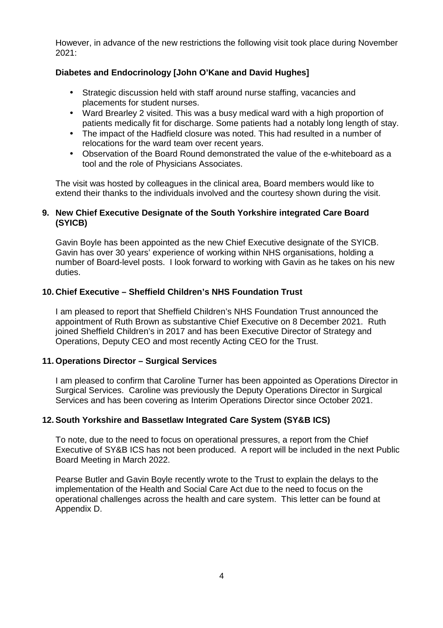However, in advance of the new restrictions the following visit took place during November 2021:

#### **Diabetes and Endocrinology [John O'Kane and David Hughes]**

- Strategic discussion held with staff around nurse staffing, vacancies and placements for student nurses.
- Ward Brearley 2 visited. This was a busy medical ward with a high proportion of patients medically fit for discharge. Some patients had a notably long length of stay.
- The impact of the Hadfield closure was noted. This had resulted in a number of relocations for the ward team over recent years.
- Observation of the Board Round demonstrated the value of the e-whiteboard as a tool and the role of Physicians Associates.

The visit was hosted by colleagues in the clinical area, Board members would like to extend their thanks to the individuals involved and the courtesy shown during the visit.

#### **9. New Chief Executive Designate of the South Yorkshire integrated Care Board (SYICB)**

Gavin Boyle has been appointed as the new Chief Executive designate of the SYICB. Gavin has over 30 years' experience of working within NHS organisations, holding a number of Board-level posts. I look forward to working with Gavin as he takes on his new duties.

#### **10. Chief Executive – Sheffield Children's NHS Foundation Trust**

I am pleased to report that Sheffield Children's NHS Foundation Trust announced the appointment of Ruth Brown as substantive Chief Executive on 8 December 2021. Ruth joined Sheffield Children's in 2017 and has been Executive Director of Strategy and Operations, Deputy CEO and most recently Acting CEO for the Trust.

#### **11. Operations Director – Surgical Services**

I am pleased to confirm that Caroline Turner has been appointed as Operations Director in Surgical Services. Caroline was previously the Deputy Operations Director in Surgical Services and has been covering as Interim Operations Director since October 2021.

#### **12. South Yorkshire and Bassetlaw Integrated Care System (SY&B ICS)**

To note, due to the need to focus on operational pressures, a report from the Chief Executive of SY&B ICS has not been produced. A report will be included in the next Public Board Meeting in March 2022.

Pearse Butler and Gavin Boyle recently wrote to the Trust to explain the delays to the implementation of the Health and Social Care Act due to the need to focus on the operational challenges across the health and care system. This letter can be found at Appendix D.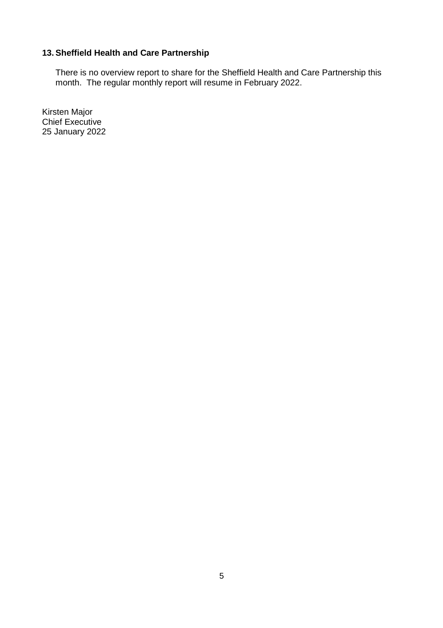#### **13. Sheffield Health and Care Partnership**

There is no overview report to share for the Sheffield Health and Care Partnership this month. The regular monthly report will resume in February 2022.

Kirsten Major Chief Executive 25 January 2022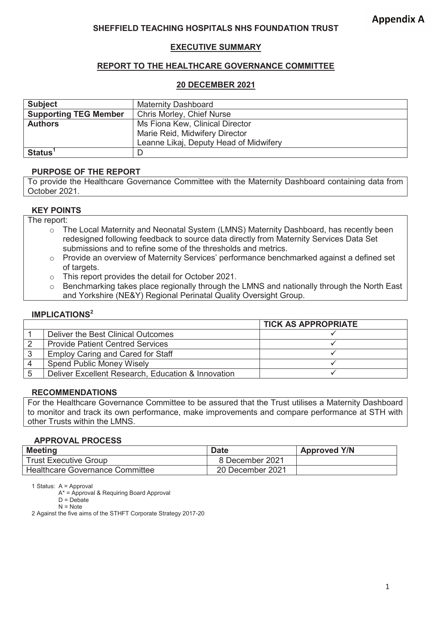#### **SHEFFIELD TEACHING HOSPITALS NHS FOUNDATION TRUST**

#### **EXECUTIVE SUMMARY**

#### **REPORT TO THE HEALTHCARE GOVERNANCE COMMITTEE**

#### **20 DECEMBER 2021**

| <b>Subject</b>                                            | <b>Maternity Dashboard</b>             |  |  |  |
|-----------------------------------------------------------|----------------------------------------|--|--|--|
| <b>Supporting TEG Member</b><br>Chris Morley, Chief Nurse |                                        |  |  |  |
| <b>Authors</b>                                            | Ms Fiona Kew, Clinical Director        |  |  |  |
|                                                           | Marie Reid, Midwifery Director         |  |  |  |
|                                                           | Leanne Likaj, Deputy Head of Midwifery |  |  |  |
| <b>Status</b>                                             | D                                      |  |  |  |

#### **PURPOSE OF THE REPORT**

To provide the Healthcare Governance Committee with the Maternity Dashboard containing data from October 2021.

#### **KEY POINTS**

The report:

- o The Local Maternity and Neonatal System (LMNS) Maternity Dashboard, has recently been redesigned following feedback to source data directly from Maternity Services Data Set submissions and to refine some of the thresholds and metrics.
- $\circ$  Provide an overview of Maternity Services' performance benchmarked against a defined set of targets.
- o This report provides the detail for October 2021.
- o Benchmarking takes place regionally through the LMNS and nationally through the North East and Yorkshire (NE&Y) Regional Perinatal Quality Oversight Group.

#### **IMPLICATIONS<sup>2</sup>**

|                                                    | <b>TICK AS APPROPRIATE</b> |
|----------------------------------------------------|----------------------------|
| Deliver the Best Clinical Outcomes                 |                            |
| <b>Provide Patient Centred Services</b>            |                            |
| <b>Employ Caring and Cared for Staff</b>           |                            |
| <b>Spend Public Money Wisely</b>                   |                            |
| Deliver Excellent Research, Education & Innovation |                            |

#### **RECOMMENDATIONS**

For the Healthcare Governance Committee to be assured that the Trust utilises a Maternity Dashboard to monitor and track its own performance, make improvements and compare performance at STH with other Trusts within the LMNS.

#### **APPROVAL PROCESS**

| <b>Meeting</b>                         | <b>Date</b>      | <b>Approved Y/N</b> |
|----------------------------------------|------------------|---------------------|
| <b>Trust Executive Group</b>           | 8 December 2021  |                     |
| <b>Healthcare Governance Committee</b> | 20 December 2021 |                     |

1 Status: A = Approval

A\* = Approval & Requiring Board Approval

2 Against the five aims of the STHFT Corporate Strategy 2017-20

 $D = Debate$  $N =$  Note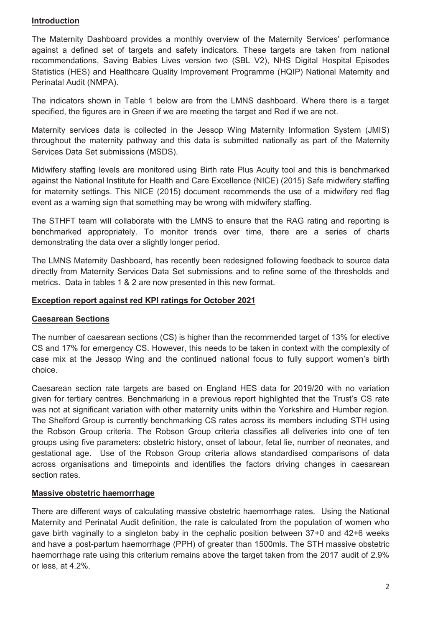#### **Introduction**

The Maternity Dashboard provides a monthly overview of the Maternity Services' performance against a defined set of targets and safety indicators. These targets are taken from national recommendations, Saving Babies Lives version two (SBL V2), NHS Digital Hospital Episodes Statistics (HES) and Healthcare Quality Improvement Programme (HQIP) National Maternity and Perinatal Audit (NMPA).

The indicators shown in Table 1 below are from the LMNS dashboard. Where there is a target specified, the figures are in Green if we are meeting the target and Red if we are not.

Maternity services data is collected in the Jessop Wing Maternity Information System (JMIS) throughout the maternity pathway and this data is submitted nationally as part of the Maternity Services Data Set submissions (MSDS).

Midwifery staffing levels are monitored using Birth rate Plus Acuity tool and this is benchmarked against the National Institute for Health and Care Excellence (NICE) (2015) Safe midwifery staffing for maternity settings. This NICE (2015) document recommends the use of a midwifery red flag event as a warning sign that something may be wrong with midwifery staffing.

The STHFT team will collaborate with the LMNS to ensure that the RAG rating and reporting is benchmarked appropriately. To monitor trends over time, there are a series of charts demonstrating the data over a slightly longer period.

The LMNS Maternity Dashboard, has recently been redesigned following feedback to source data directly from Maternity Services Data Set submissions and to refine some of the thresholds and metrics. Data in tables 1 & 2 are now presented in this new format.

#### **Exception report against red KPI ratings for October 2021**

#### **Caesarean Sections**

The number of caesarean sections (CS) is higher than the recommended target of 13% for elective CS and 17% for emergency CS. However, this needs to be taken in context with the complexity of case mix at the Jessop Wing and the continued national focus to fully support women's birth choice.

Caesarean section rate targets are based on England HES data for 2019/20 with no variation given for tertiary centres. Benchmarking in a previous report highlighted that the Trust's CS rate was not at significant variation with other maternity units within the Yorkshire and Humber region. The Shelford Group is currently benchmarking CS rates across its members including STH using the Robson Group criteria. The Robson Group criteria classifies all deliveries into one of ten groups using five parameters: obstetric history, onset of labour, fetal lie, number of neonates, and gestational age. Use of the Robson Group criteria allows standardised comparisons of data across organisations and timepoints and identifies the factors driving changes in caesarean section rates.

#### **Massive obstetric haemorrhage**

There are different ways of calculating massive obstetric haemorrhage rates. Using the National Maternity and Perinatal Audit definition, the rate is calculated from the population of women who gave birth vaginally to a singleton baby in the cephalic position between 37+0 and 42+6 weeks and have a post-partum haemorrhage (PPH) of greater than 1500mls. The STH massive obstetric haemorrhage rate using this criterium remains above the target taken from the 2017 audit of 2.9% or less, at 4.2%.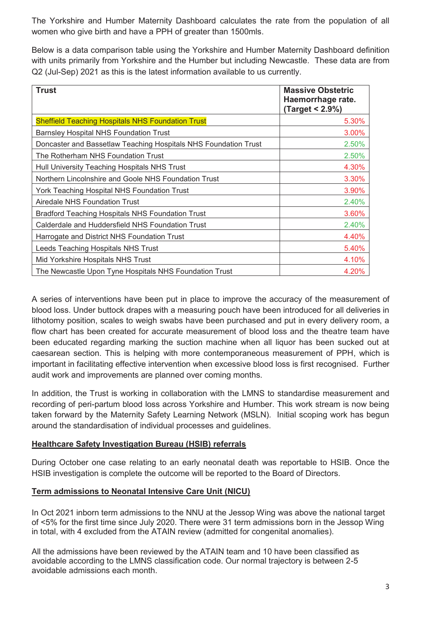The Yorkshire and Humber Maternity Dashboard calculates the rate from the population of all women who give birth and have a PPH of greater than 1500mls.

Below is a data comparison table using the Yorkshire and Humber Maternity Dashboard definition with units primarily from Yorkshire and the Humber but including Newcastle. These data are from Q2 (Jul-Sep) 2021 as this is the latest information available to us currently.

| <b>Trust</b>                                                    | <b>Massive Obstetric</b><br>Haemorrhage rate.<br>(Target < 2.9%) |
|-----------------------------------------------------------------|------------------------------------------------------------------|
| <b>Sheffield Teaching Hospitals NHS Foundation Trust</b>        | 5.30%                                                            |
| <b>Barnsley Hospital NHS Foundation Trust</b>                   | 3.00%                                                            |
| Doncaster and Bassetlaw Teaching Hospitals NHS Foundation Trust | 2.50%                                                            |
| The Rotherham NHS Foundation Trust                              | 2.50%                                                            |
| Hull University Teaching Hospitals NHS Trust                    | 4.30%                                                            |
| Northern Lincolnshire and Goole NHS Foundation Trust            | 3.30%                                                            |
| York Teaching Hospital NHS Foundation Trust                     | 3.90%                                                            |
| Airedale NHS Foundation Trust                                   | 2.40%                                                            |
| <b>Bradford Teaching Hospitals NHS Foundation Trust</b>         | 3.60%                                                            |
| Calderdale and Huddersfield NHS Foundation Trust                | 2.40%                                                            |
| Harrogate and District NHS Foundation Trust                     | 4.40%                                                            |
| Leeds Teaching Hospitals NHS Trust                              | 5.40%                                                            |
| Mid Yorkshire Hospitals NHS Trust                               | 4.10%                                                            |
| The Newcastle Upon Tyne Hospitals NHS Foundation Trust          | 4.20%                                                            |

A series of interventions have been put in place to improve the accuracy of the measurement of blood loss. Under buttock drapes with a measuring pouch have been introduced for all deliveries in lithotomy position, scales to weigh swabs have been purchased and put in every delivery room, a flow chart has been created for accurate measurement of blood loss and the theatre team have been educated regarding marking the suction machine when all liquor has been sucked out at caesarean section. This is helping with more contemporaneous measurement of PPH, which is important in facilitating effective intervention when excessive blood loss is first recognised. Further audit work and improvements are planned over coming months.

In addition, the Trust is working in collaboration with the LMNS to standardise measurement and recording of peri-partum blood loss across Yorkshire and Humber. This work stream is now being taken forward by the Maternity Safety Learning Network (MSLN). Initial scoping work has begun around the standardisation of individual processes and guidelines.

#### **Healthcare Safety Investigation Bureau (HSIB) referrals**

During October one case relating to an early neonatal death was reportable to HSIB. Once the HSIB investigation is complete the outcome will be reported to the Board of Directors.

#### **Term admissions to Neonatal Intensive Care Unit (NICU)**

In Oct 2021 inborn term admissions to the NNU at the Jessop Wing was above the national target of <5% for the first time since July 2020. There were 31 term admissions born in the Jessop Wing in total, with 4 excluded from the ATAIN review (admitted for congenital anomalies).

All the admissions have been reviewed by the ATAIN team and 10 have been classified as avoidable according to the LMNS classification code. Our normal trajectory is between 2-5 avoidable admissions each month.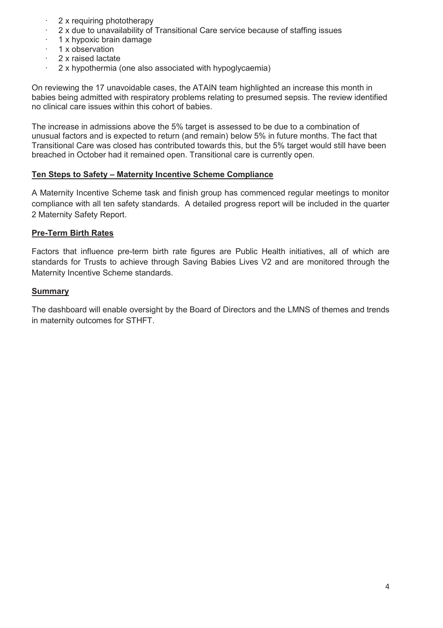- 2 x requiring phototherapy
- · 2 x due to unavailability of Transitional Care service because of staffing issues
- · 1 x hypoxic brain damage
- · 1 x observation
- 2 x raised lactate
- · 2 x hypothermia (one also associated with hypoglycaemia)

On reviewing the 17 unavoidable cases, the ATAIN team highlighted an increase this month in babies being admitted with respiratory problems relating to presumed sepsis. The review identified no clinical care issues within this cohort of babies.

The increase in admissions above the 5% target is assessed to be due to a combination of unusual factors and is expected to return (and remain) below 5% in future months. The fact that Transitional Care was closed has contributed towards this, but the 5% target would still have been breached in October had it remained open. Transitional care is currently open.

#### **Ten Steps to Safety – Maternity Incentive Scheme Compliance**

A Maternity Incentive Scheme task and finish group has commenced regular meetings to monitor compliance with all ten safety standards. A detailed progress report will be included in the quarter 2 Maternity Safety Report.

#### **Pre-Term Birth Rates**

Factors that influence pre-term birth rate figures are Public Health initiatives, all of which are standards for Trusts to achieve through Saving Babies Lives V2 and are monitored through the Maternity Incentive Scheme standards.

#### **Summary**

The dashboard will enable oversight by the Board of Directors and the LMNS of themes and trends in maternity outcomes for STHFT.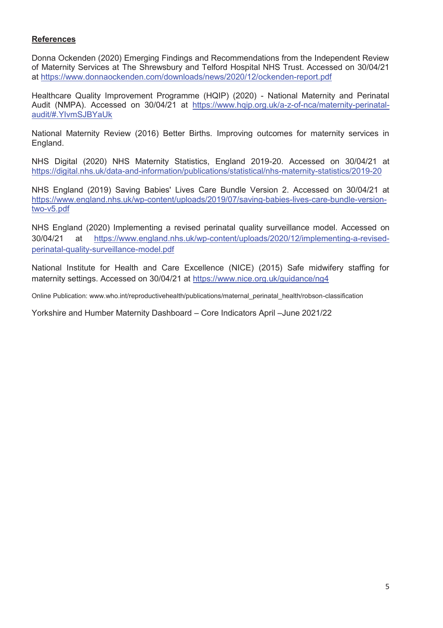#### **References**

Donna Ockenden (2020) Emerging Findings and Recommendations from the Independent Review of Maternity Services at The Shrewsbury and Telford Hospital NHS Trust. Accessed on 30/04/21 at https://www.donnaockenden.com/downloads/news/2020/12/ockenden-report.pdf

Healthcare Quality Improvement Programme (HQIP) (2020) - National Maternity and Perinatal Audit (NMPA). Accessed on 30/04/21 at https://www.hqip.org.uk/a-z-of-nca/maternity-perinatalaudit/#.YIvmSJBYaUk

National Maternity Review (2016) Better Births. Improving outcomes for maternity services in England.

NHS Digital (2020) NHS Maternity Statistics, England 2019-20. Accessed on 30/04/21 at https://digital.nhs.uk/data-and-information/publications/statistical/nhs-maternity-statistics/2019-20

NHS England (2019) Saving Babies' Lives Care Bundle Version 2. Accessed on 30/04/21 at https://www.england.nhs.uk/wp-content/uploads/2019/07/saving-babies-lives-care-bundle-versiontwo-v5.pdf

NHS England (2020) Implementing a revised perinatal quality surveillance model. Accessed on 30/04/21 at https://www.england.nhs.uk/wp-content/uploads/2020/12/implementing-a-revisedperinatal-quality-surveillance-model.pdf

National Institute for Health and Care Excellence (NICE) (2015) Safe midwifery staffing for maternity settings. Accessed on 30/04/21 at https://www.nice.org.uk/guidance/ng4

Online Publication: www.who.int/reproductivehealth/publications/maternal\_perinatal\_health/robson-classification

Yorkshire and Humber Maternity Dashboard – Core Indicators April –June 2021/22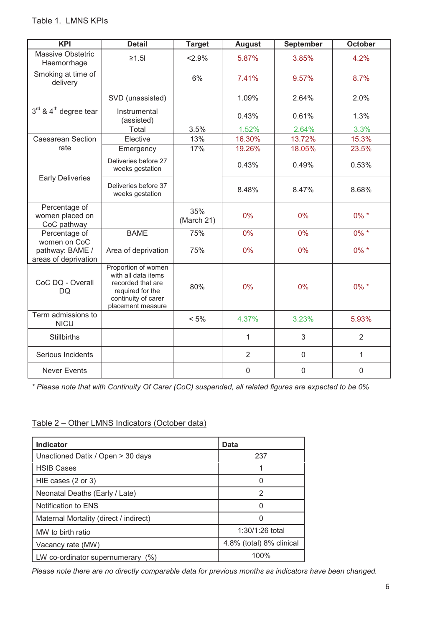| <b>KPI</b>                                              | <b>Detail</b>                                                                                                                   | <b>Target</b>     | <b>August</b>  | September   | <b>October</b> |
|---------------------------------------------------------|---------------------------------------------------------------------------------------------------------------------------------|-------------------|----------------|-------------|----------------|
| <b>Massive Obstetric</b><br>Haemorrhage                 | $\geq 1.5$                                                                                                                      | 2.9%              | 5.87%          | 3.85%       | 4.2%           |
| Smoking at time of<br>delivery                          |                                                                                                                                 | 6%                | 7.41%          | 9.57%       | 8.7%           |
|                                                         | SVD (unassisted)                                                                                                                |                   | 1.09%          | 2.64%       | 2.0%           |
| $3^{\text{rd}}$ & $4^{\text{th}}$ degree tear           | Instrumental<br>(assisted)                                                                                                      |                   | 0.43%          | 0.61%       | 1.3%           |
|                                                         | Total                                                                                                                           | 3.5%              | 1.52%          | 2.64%       | 3.3%           |
| <b>Caesarean Section</b>                                | Elective                                                                                                                        | 13%               | 16.30%         | 13.72%      | 15.3%          |
| rate                                                    | Emergency                                                                                                                       | 17%               | 19.26%         | 18.05%      | 23.5%          |
|                                                         | Deliveries before 27<br>weeks gestation                                                                                         |                   | 0.43%          | 0.49%       | 0.53%          |
| <b>Early Deliveries</b>                                 | Deliveries before 37<br>weeks gestation                                                                                         |                   | 8.48%          | 8.47%       | 8.68%          |
| Percentage of<br>women placed on<br>CoC pathway         |                                                                                                                                 | 35%<br>(March 21) | 0%             | 0%          | $0\% *$        |
| Percentage of                                           | <b>BAME</b>                                                                                                                     | 75%               | 0%             | 0%          | $0\% *$        |
| women on CoC<br>pathway: BAME /<br>areas of deprivation | Area of deprivation                                                                                                             | 75%               | 0%             | 0%          | $0\% *$        |
| CoC DQ - Overall<br>DQ                                  | Proportion of women<br>with all data items<br>recorded that are<br>required for the<br>continuity of carer<br>placement measure | 80%               | 0%             | 0%          | $0\% *$        |
| Term admissions to<br><b>NICU</b>                       |                                                                                                                                 | $< 5\%$           | 4.37%          | 3.23%       | 5.93%          |
| <b>Stillbirths</b>                                      |                                                                                                                                 |                   | $\mathbf{1}$   | 3           | $\overline{2}$ |
| Serious Incidents                                       |                                                                                                                                 |                   | $\overline{2}$ | $\mathbf 0$ | 1              |
| <b>Never Events</b>                                     |                                                                                                                                 |                   | $\mathbf 0$    | $\mathbf 0$ | $\mathbf 0$    |

*\* Please note that with Continuity Of Carer (CoC) suspended, all related figures are expected to be 0%* 

### Table 2 – Other LMNS Indicators (October data)

| <b>Indicator</b>                       | Data                     |
|----------------------------------------|--------------------------|
| Unactioned Datix / Open > 30 days      | 237                      |
| <b>HSIB Cases</b>                      |                          |
| HIE cases $(2 \text{ or } 3)$          |                          |
| Neonatal Deaths (Early / Late)         | 2                        |
| Notification to ENS                    |                          |
| Maternal Mortality (direct / indirect) |                          |
| MW to birth ratio                      | $1:30/1:26$ total        |
| Vacancy rate (MW)                      | 4.8% (total) 8% clinical |
| LW co-ordinator supernumerary<br>(% )  | 100%                     |

*Please note there are no directly comparable data for previous months as indicators have been changed.*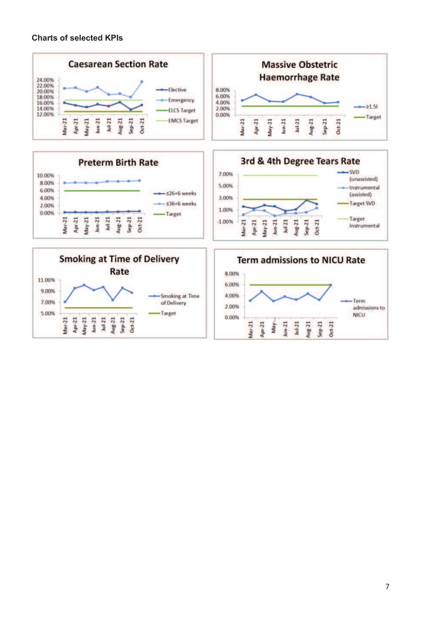#### **Charts of selected KPIs**

5.00%

Apr-21  $May-21$  $_{bin-21}$ Jul-21

Mar-21

Aug-21<br>Sep-21<br>Oct-21



0.00%

Apr-21  $Mar-21$ 

Jun-21  $J$ ui-21  $Aug-21$  $Sep-21$  $Oct-21$ 

**May** 

-Target



7

admissions to

**NICU**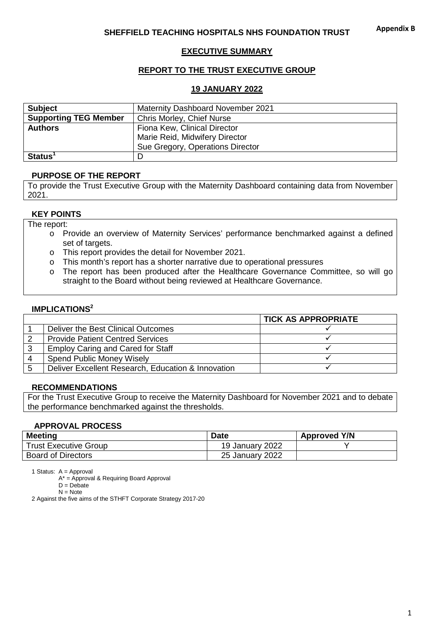#### **EXECUTIVE SUMMARY**

#### **REPORT TO THE TRUST EXECUTIVE GROUP**

#### **19 JANUARY 2022**

| <b>Subject</b>               | <b>Maternity Dashboard November 2021</b> |
|------------------------------|------------------------------------------|
| <b>Supporting TEG Member</b> | Chris Morley, Chief Nurse                |
| <b>Authors</b>               | Fiona Kew, Clinical Director             |
|                              | Marie Reid, Midwifery Director           |
|                              | Sue Gregory, Operations Director         |
| $Status1$                    |                                          |

#### **PURPOSE OF THE REPORT**

To provide the Trust Executive Group with the Maternity Dashboard containing data from November 2021.

#### **KEY POINTS**

The report:

- o Provide an overview of Maternity Services' performance benchmarked against a defined set of targets.
- o This report provides the detail for November 2021.
- o This month's report has a shorter narrative due to operational pressures
- o The report has been produced after the Healthcare Governance Committee, so will go straight to the Board without being reviewed at Healthcare Governance.

#### **IMPLICATIONS<sup>2</sup>**

|                                                    | <b>TICK AS APPROPRIATE</b> |
|----------------------------------------------------|----------------------------|
| Deliver the Best Clinical Outcomes                 |                            |
| <b>Provide Patient Centred Services</b>            |                            |
| <b>Employ Caring and Cared for Staff</b>           |                            |
| <b>Spend Public Money Wisely</b>                   |                            |
| Deliver Excellent Research, Education & Innovation |                            |

#### **RECOMMENDATIONS**

For the Trust Executive Group to receive the Maternity Dashboard for November 2021 and to debate the performance benchmarked against the thresholds.

#### **APPROVAL PROCESS**

| <b>Meeting</b>               | <b>Date</b>     | <b>Approved Y/N</b> |
|------------------------------|-----------------|---------------------|
| <b>Trust Executive Group</b> | 19 January 2022 |                     |
| <b>Board of Directors</b>    | 25 January 2022 |                     |

1 Status: A = Approval

A\* = Approval & Requiring Board Approval

 $D = Debate$ 

2 Against the five aims of the STHFT Corporate Strategy 2017-20

 $N = Note$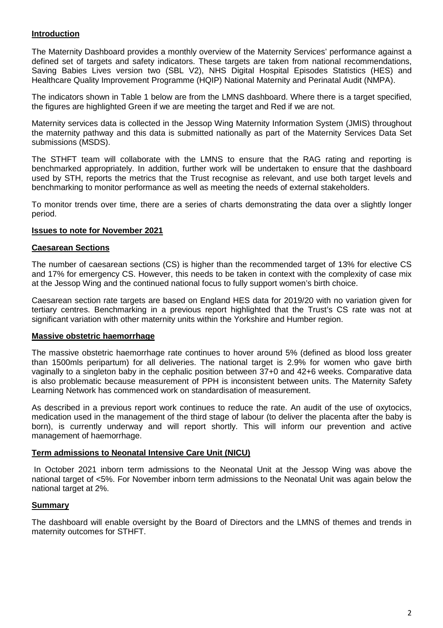#### **Introduction**

The Maternity Dashboard provides a monthly overview of the Maternity Services' performance against a defined set of targets and safety indicators. These targets are taken from national recommendations, Saving Babies Lives version two (SBL V2), NHS Digital Hospital Episodes Statistics (HES) and Healthcare Quality Improvement Programme (HQIP) National Maternity and Perinatal Audit (NMPA).

The indicators shown in Table 1 below are from the LMNS dashboard. Where there is a target specified, the figures are highlighted Green if we are meeting the target and Red if we are not.

Maternity services data is collected in the Jessop Wing Maternity Information System (JMIS) throughout the maternity pathway and this data is submitted nationally as part of the Maternity Services Data Set submissions (MSDS).

The STHFT team will collaborate with the LMNS to ensure that the RAG rating and reporting is benchmarked appropriately. In addition, further work will be undertaken to ensure that the dashboard used by STH, reports the metrics that the Trust recognise as relevant, and use both target levels and benchmarking to monitor performance as well as meeting the needs of external stakeholders.

To monitor trends over time, there are a series of charts demonstrating the data over a slightly longer period.

#### **Issues to note for November 2021**

#### **Caesarean Sections**

The number of caesarean sections (CS) is higher than the recommended target of 13% for elective CS and 17% for emergency CS. However, this needs to be taken in context with the complexity of case mix at the Jessop Wing and the continued national focus to fully support women's birth choice.

Caesarean section rate targets are based on England HES data for 2019/20 with no variation given for tertiary centres. Benchmarking in a previous report highlighted that the Trust's CS rate was not at significant variation with other maternity units within the Yorkshire and Humber region.

#### **Massive obstetric haemorrhage**

The massive obstetric haemorrhage rate continues to hover around 5% (defined as blood loss greater than 1500mls peripartum) for all deliveries. The national target is 2.9% for women who gave birth vaginally to a singleton baby in the cephalic position between 37+0 and 42+6 weeks. Comparative data is also problematic because measurement of PPH is inconsistent between units. The Maternity Safety Learning Network has commenced work on standardisation of measurement.

As described in a previous report work continues to reduce the rate. An audit of the use of oxytocics, medication used in the management of the third stage of labour (to deliver the placenta after the baby is born), is currently underway and will report shortly. This will inform our prevention and active management of haemorrhage.

#### **Term admissions to Neonatal Intensive Care Unit (NICU)**

 In October 2021 inborn term admissions to the Neonatal Unit at the Jessop Wing was above the national target of <5%. For November inborn term admissions to the Neonatal Unit was again below the national target at 2%.

#### **Summary**

The dashboard will enable oversight by the Board of Directors and the LMNS of themes and trends in maternity outcomes for STHFT.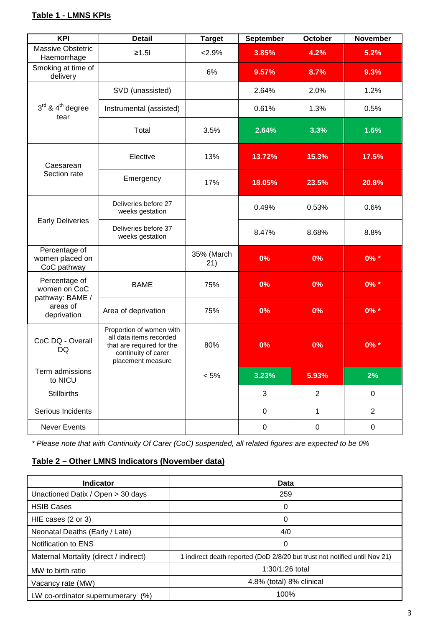## **Table 1 - LMNS KPIs**

| <b>KPI</b>                                      | <b>Detail</b>                                                                                                                | <b>Target</b>     | <b>September</b> | October        | <b>November</b> |
|-------------------------------------------------|------------------------------------------------------------------------------------------------------------------------------|-------------------|------------------|----------------|-----------------|
| Massive Obstetric<br>Haemorrhage                | ≥1.5                                                                                                                         | 2.9%              | 3.85%            | 4.2%           | 5.2%            |
| Smoking at time of<br>delivery                  |                                                                                                                              | 6%                | 9.57%            | 8.7%           | 9.3%            |
|                                                 | SVD (unassisted)                                                                                                             |                   | 2.64%            | 2.0%           | 1.2%            |
| $3rd$ & 4 <sup>th</sup> degree<br>tear          | Instrumental (assisted)                                                                                                      |                   | 0.61%            | 1.3%           | 0.5%            |
|                                                 | Total                                                                                                                        | 3.5%              | 2.64%            | 3.3%           | 1.6%            |
| Caesarean                                       | Elective                                                                                                                     | 13%               | 13.72%           | 15.3%          | 17.5%           |
| Section rate                                    | Emergency                                                                                                                    | 17%               | 18.05%           | 23.5%          | 20.8%           |
| <b>Early Deliveries</b>                         | Deliveries before 27<br>weeks gestation                                                                                      |                   | 0.49%            | 0.53%          | 0.6%            |
|                                                 | Deliveries before 37<br>weeks gestation                                                                                      |                   | 8.47%            | 8.68%          | 8.8%            |
| Percentage of<br>women placed on<br>CoC pathway |                                                                                                                              | 35% (March<br>21) | 0%               | 0%             | $0\% *$         |
| Percentage of<br>women on CoC                   | <b>BAME</b>                                                                                                                  | 75%               | 0%               | 0%             | $0\% *$         |
| pathway: BAME /<br>areas of<br>deprivation      | Area of deprivation                                                                                                          | 75%               | 0%               | 0%             | $0\% *$         |
| CoC DQ - Overall<br>DQ                          | Proportion of women with<br>all data items recorded<br>that are required for the<br>continuity of carer<br>placement measure | 80%               | 0%               | 0%             | $0\% *$         |
| Term admissions<br>to NICU                      |                                                                                                                              | $< 5\%$           | 3.23%            | 5.93%          | 2%              |
| <b>Stillbirths</b>                              |                                                                                                                              |                   | 3                | $\overline{2}$ | $\mathsf 0$     |
| Serious Incidents                               |                                                                                                                              |                   | 0                | $\mathbf{1}$   | $\overline{2}$  |
| Never Events                                    |                                                                                                                              |                   | $\mathbf 0$      | $\pmb{0}$      | $\mathsf 0$     |

\* Please note that with Continuity Of Carer (CoC) suspended, all related figures are expected to be 0%

## **Table 2 – Other LMNS Indicators (November data)**

| <b>Indicator</b>                       | Data                                                                       |  |
|----------------------------------------|----------------------------------------------------------------------------|--|
| Unactioned Datix / Open > 30 days      | 259                                                                        |  |
| <b>HSIB Cases</b>                      | O                                                                          |  |
| HIE cases (2 or 3)                     | 0                                                                          |  |
| Neonatal Deaths (Early / Late)         | 4/0                                                                        |  |
| Notification to ENS                    | 0                                                                          |  |
| Maternal Mortality (direct / indirect) | 1 indirect death reported (DoD 2/8/20 but trust not notified until Nov 21) |  |
| MW to birth ratio                      | 1:30/1:26 total                                                            |  |
| Vacancy rate (MW)                      | 4.8% (total) 8% clinical                                                   |  |
| LW co-ordinator supernumerary<br>(% )  | 100%                                                                       |  |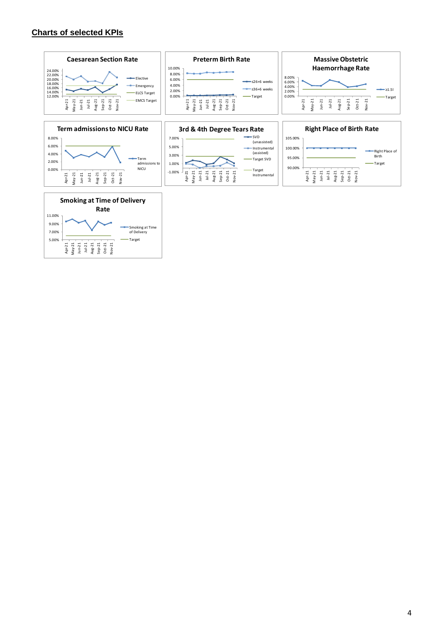#### **Charts of selected KPIs**

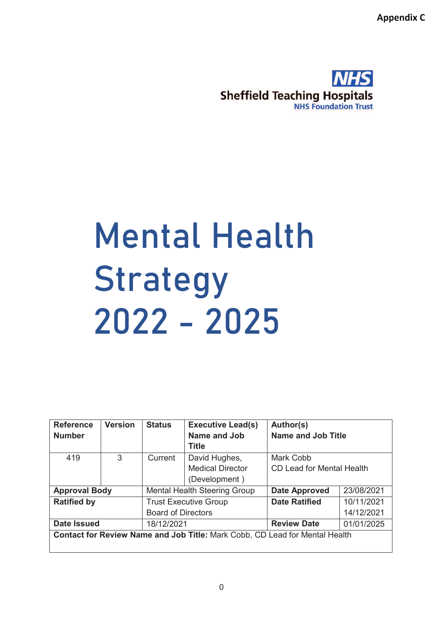**Appendix C** 



# Mental Health Strategy 2022 - 2025

| <b>Reference</b><br><b>Number</b>                                                  | <b>Version</b> | <b>Status</b>                       | <b>Executive Lead(s)</b><br>Name and Job<br><b>Title</b> | Author(s)<br><b>Name and Job Title</b> |            |
|------------------------------------------------------------------------------------|----------------|-------------------------------------|----------------------------------------------------------|----------------------------------------|------------|
| 419                                                                                | 3              | Current                             | David Hughes,                                            | Mark Cobb                              |            |
|                                                                                    |                |                                     | <b>Medical Director</b>                                  | CD Lead for Mental Health              |            |
|                                                                                    |                |                                     | (Development)                                            |                                        |            |
| <b>Approval Body</b>                                                               |                | <b>Mental Health Steering Group</b> |                                                          | <b>Date Approved</b>                   | 23/08/2021 |
| <b>Ratified by</b>                                                                 |                | <b>Trust Executive Group</b>        |                                                          | <b>Date Ratified</b>                   | 10/11/2021 |
|                                                                                    |                | <b>Board of Directors</b>           |                                                          |                                        | 14/12/2021 |
| <b>Date Issued</b>                                                                 |                | 18/12/2021                          |                                                          | <b>Review Date</b>                     | 01/01/2025 |
| <b>Contact for Review Name and Job Title: Mark Cobb, CD Lead for Mental Health</b> |                |                                     |                                                          |                                        |            |

0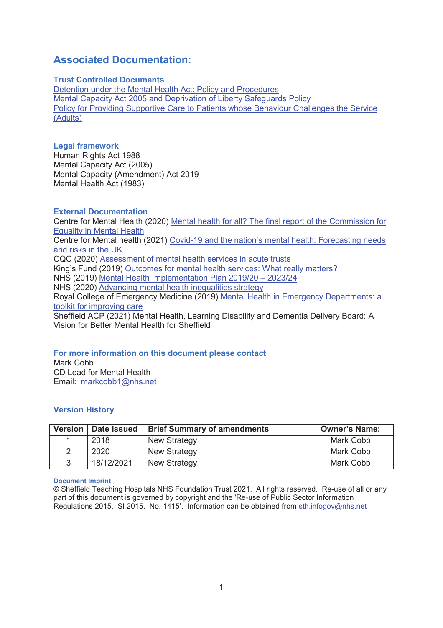# **Associated Documentation:**

#### **Trust Controlled Documents**

Detention under the Mental Health Act: Policy and Procedures Mental Capacity Act 2005 and Deprivation of Liberty Safeguards Policy Policy for Providing Supportive Care to Patients whose Behaviour Challenges the Service (Adults)

#### **Legal framework**

Human Rights Act 1988 Mental Capacity Act (2005) Mental Capacity (Amendment) Act 2019 Mental Health Act (1983)

#### **External Documentation**

Centre for Mental Health (2020) Mental health for all? The final report of the Commission for Equality in Mental Health Centre for Mental health (2021) Covid-19 and the nation's mental health: Forecasting needs and risks in the UK CQC (2020) Assessment of mental health services in acute trusts King's Fund (2019) Outcomes for mental health services: What really matters? NHS (2019) Mental Health Implementation Plan 2019/20 – 2023/24 NHS (2020) Advancing mental health inequalities strategy Royal College of Emergency Medicine (2019) Mental Health in Emergency Departments: a toolkit for improving care Sheffield ACP (2021) Mental Health, Learning Disability and Dementia Delivery Board: A Vision for Better Mental Health for Sheffield

#### **For more information on this document please contact**

Mark Cobb CD Lead for Mental Health Email: markcobb1@nhs.net

#### **Version History**

| Version | Date Issued | <b>Brief Summary of amendments</b> | <b>Owner's Name:</b> |
|---------|-------------|------------------------------------|----------------------|
|         | 2018        | <b>New Strategy</b>                | Mark Cobb            |
|         | 2020        | <b>New Strategy</b>                | Mark Cobb            |
|         | 18/12/2021  | <b>New Strategy</b>                | Mark Cobb            |

#### **Document Imprint**

© Sheffield Teaching Hospitals NHS Foundation Trust 2021. All rights reserved. Re-use of all or any part of this document is governed by copyright and the 'Re-use of Public Sector Information Regulations 2015. SI 2015. No. 1415'. Information can be obtained from sth.infogov@nhs.net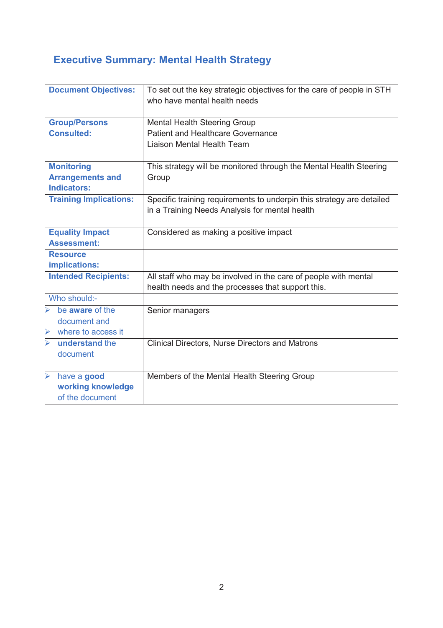# **Executive Summary: Mental Health Strategy**

| <b>Document Objectives:</b>                 | To set out the key strategic objectives for the care of people in STH<br>who have mental health needs |  |  |
|---------------------------------------------|-------------------------------------------------------------------------------------------------------|--|--|
| <b>Group/Persons</b>                        | <b>Mental Health Steering Group</b>                                                                   |  |  |
| <b>Consulted:</b>                           | <b>Patient and Healthcare Governance</b>                                                              |  |  |
|                                             | Liaison Mental Health Team                                                                            |  |  |
| <b>Monitoring</b>                           | This strategy will be monitored through the Mental Health Steering                                    |  |  |
| <b>Arrangements and</b>                     | Group                                                                                                 |  |  |
| <b>Indicators:</b>                          |                                                                                                       |  |  |
| <b>Training Implications:</b>               | Specific training requirements to underpin this strategy are detailed                                 |  |  |
|                                             | in a Training Needs Analysis for mental health                                                        |  |  |
|                                             |                                                                                                       |  |  |
| <b>Equality Impact</b>                      | Considered as making a positive impact                                                                |  |  |
| <b>Assessment:</b>                          |                                                                                                       |  |  |
| <b>Resource</b>                             |                                                                                                       |  |  |
| implications:                               |                                                                                                       |  |  |
| <b>Intended Recipients:</b>                 | All staff who may be involved in the care of people with mental                                       |  |  |
|                                             | health needs and the processes that support this.                                                     |  |  |
| Who should:-                                |                                                                                                       |  |  |
| be aware of the                             | Senior managers                                                                                       |  |  |
| document and                                |                                                                                                       |  |  |
| where to access it<br>$\blacktriangleright$ |                                                                                                       |  |  |
| understand the<br>$\blacktriangleright$     | <b>Clinical Directors, Nurse Directors and Matrons</b>                                                |  |  |
| document                                    |                                                                                                       |  |  |
|                                             |                                                                                                       |  |  |
| have a good<br>$\blacktriangleright$        | Members of the Mental Health Steering Group                                                           |  |  |
| working knowledge                           |                                                                                                       |  |  |
| of the document                             |                                                                                                       |  |  |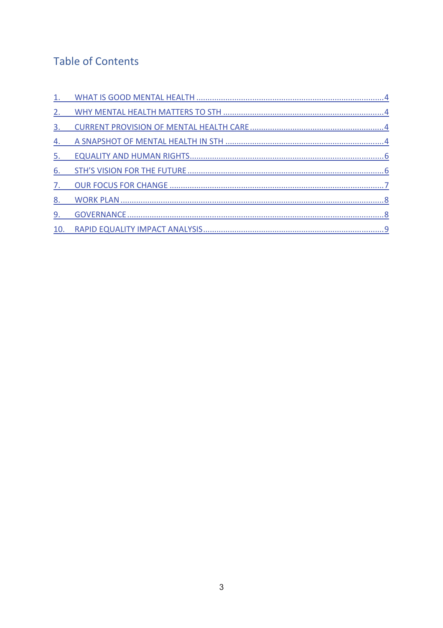# **Table of Contents**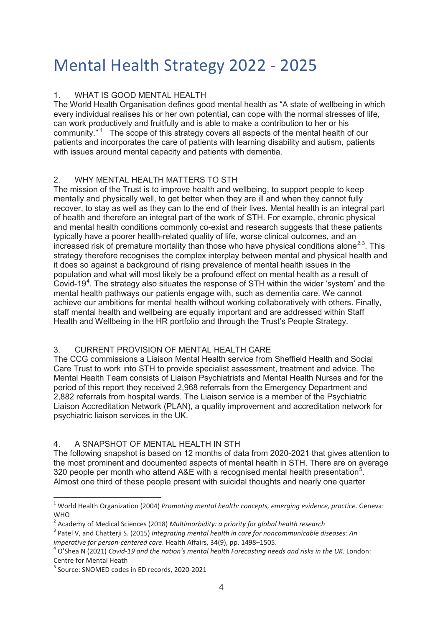# Mental Health Strategy 2022 - 2025

#### 1. WHAT IS GOOD MENTAL HEALTH

The World Health Organisation defines good mental health as "A state of wellbeing in which every individual realises his or her own potential, can cope with the normal stresses of life, can work productively and fruitfully and is able to make a contribution to her or his community. $"$ <sup>1</sup> The scope of this strategy covers all aspects of the mental health of our patients and incorporates the care of patients with learning disability and autism, patients with issues around mental capacity and patients with dementia.

#### 2. WHY MENTAL HEALTH MATTERS TO STH

The mission of the Trust is to improve health and wellbeing, to support people to keep mentally and physically well, to get better when they are ill and when they cannot fully recover, to stay as well as they can to the end of their lives. Mental health is an integral part of health and therefore an integral part of the work of STH. For example, chronic physical and mental health conditions commonly co-exist and research suggests that these patients typically have a poorer health-related quality of life, worse clinical outcomes, and an increased risk of premature mortality than those who have physical conditions alone<sup>2,3</sup>. This strategy therefore recognises the complex interplay between mental and physical health and it does so against a background of rising prevalence of mental health issues in the population and what will most likely be a profound effect on mental health as a result of Covid-19<sup>4</sup>. The strategy also situates the response of STH within the wider 'system' and the mental health pathways our patients engage with, such as dementia care. We cannot achieve our ambitions for mental health without working collaboratively with others. Finally, staff mental health and wellbeing are equally important and are addressed within Staff Health and Wellbeing in the HR portfolio and through the Trust's People Strategy.

#### 3. CURRENT PROVISION OF MENTAL HEALTH CARE

The CCG commissions a Liaison Mental Health service from Sheffield Health and Social Care Trust to work into STH to provide specialist assessment, treatment and advice. The Mental Health Team consists of Liaison Psychiatrists and Mental Health Nurses and for the period of this report they received 2,968 referrals from the Emergency Department and 2,882 referrals from hospital wards. The Liaison service is a member of the Psychiatric Liaison Accreditation Network (PLAN), a quality improvement and accreditation network for psychiatric liaison services in the UK.

#### 4. A SNAPSHOT OF MENTAL HEALTH IN STH

The following snapshot is based on 12 months of data from 2020-2021 that gives attention to the most prominent and documented aspects of mental health in STH. There are on average 320 people per month who attend A&E with a recognised mental health presentation<sup>5</sup>. Almost one third of these people present with suicidal thoughts and nearly one quarter

<sup>1</sup> World Health Organization (2004) *Promoting mental health: concepts, emerging evidence, practice.* Geneva: **WHO** 

<sup>2</sup> Academy of Medical Sciences (2018) *Multimorbidity: a priority for global health research*

<sup>3</sup> Patel V, and Chatterji S. (2015) *Integrating mental health in care for noncommunicable diseases: An imperative for person-centered care*. Health Affairs, 34(9), pp. 1498–1505.

<sup>4</sup> O'Shea N (2021) *Covid-19 and the nation's mental health Forecasting needs and risks in the UK*. London: Centre for Mental Heath

<sup>5</sup> Source: SNOMED codes in ED records, 2020-2021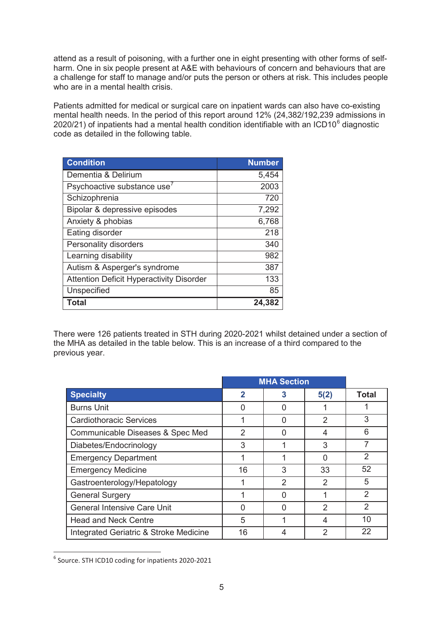attend as a result of poisoning, with a further one in eight presenting with other forms of selfharm. One in six people present at A&E with behaviours of concern and behaviours that are a challenge for staff to manage and/or puts the person or others at risk. This includes people who are in a mental health crisis.

Patients admitted for medical or surgical care on inpatient wards can also have co-existing mental health needs. In the period of this report around 12% (24,382/192,239 admissions in 2020/21) of inpatients had a mental health condition identifiable with an ICD10 $^6$  diagnostic code as detailed in the following table.

| <b>Condition</b>                                | <b>Number</b> |
|-------------------------------------------------|---------------|
| Dementia & Delirium                             | 5,454         |
| Psychoactive substance use <sup>7</sup>         | 2003          |
| Schizophrenia                                   | 720           |
| Bipolar & depressive episodes                   | 7,292         |
| Anxiety & phobias                               | 6,768         |
| Eating disorder                                 | 218           |
| Personality disorders                           | 340           |
| Learning disability                             | 982           |
| Autism & Asperger's syndrome                    | 387           |
| <b>Attention Deficit Hyperactivity Disorder</b> | 133           |
| Unspecified                                     | 85            |
| Total                                           | 24,382        |

There were 126 patients treated in STH during 2020-2021 whilst detained under a section of the MHA as detailed in the table below. This is an increase of a third compared to the previous year.

|                                        |    | <b>MHA Section</b> |      |                |
|----------------------------------------|----|--------------------|------|----------------|
| <b>Specialty</b>                       | 2  | 3                  | 5(2) | <b>Total</b>   |
| <b>Burns Unit</b>                      |    |                    |      |                |
| <b>Cardiothoracic Services</b>         |    | Ω                  | 2    | 3              |
| Communicable Diseases & Spec Med       | 2  |                    | 4    | 6              |
| Diabetes/Endocrinology                 | 3  |                    | 3    | 7              |
| <b>Emergency Department</b>            |    |                    | U    | $\overline{2}$ |
| <b>Emergency Medicine</b>              | 16 | 3                  | 33   | 52             |
| Gastroenterology/Hepatology            |    | $\mathcal{P}$      | 2    | 5              |
| <b>General Surgery</b>                 |    | ∩                  |      | 2              |
| <b>General Intensive Care Unit</b>     |    | n                  | 2    | 2              |
| <b>Head and Neck Centre</b>            | 5  |                    | 4    | 10             |
| Integrated Geriatric & Stroke Medicine | 16 |                    | 2    | 22             |

<sup>6</sup> Source. STH ICD10 coding for inpatients 2020-2021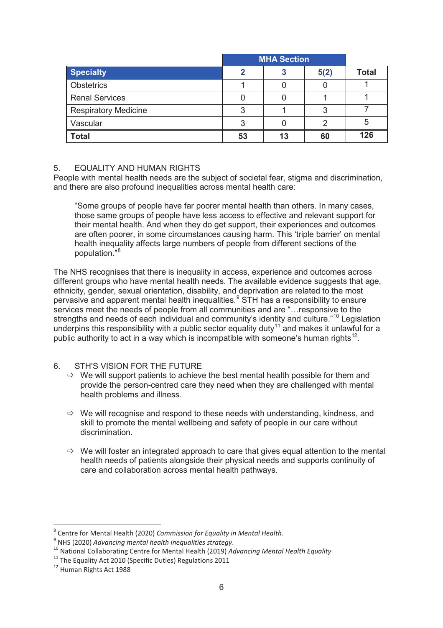|                             |    | <b>MHA Section</b> |      |              |
|-----------------------------|----|--------------------|------|--------------|
| <b>Specialty</b>            |    |                    | 5(2) | <b>Total</b> |
| <b>Obstetrics</b>           |    |                    |      |              |
| <b>Renal Services</b>       |    |                    |      |              |
| <b>Respiratory Medicine</b> |    |                    |      |              |
| Vascular                    |    |                    |      | 5            |
| <b>Total</b>                | 53 | 13                 | 60   | 126          |

#### 5. EQUALITY AND HUMAN RIGHTS

People with mental health needs are the subject of societal fear, stigma and discrimination, and there are also profound inequalities across mental health care:

"Some groups of people have far poorer mental health than others. In many cases, those same groups of people have less access to effective and relevant support for their mental health. And when they do get support, their experiences and outcomes are often poorer, in some circumstances causing harm. This 'triple barrier' on mental health inequality affects large numbers of people from different sections of the population."<sup>8</sup>

The NHS recognises that there is inequality in access, experience and outcomes across different groups who have mental health needs. The available evidence suggests that age, ethnicity, gender, sexual orientation, disability, and deprivation are related to the most pervasive and apparent mental health inequalities.<sup>9</sup> STH has a responsibility to ensure services meet the needs of people from all communities and are "…responsive to the strengths and needs of each individual and community's identity and culture."<sup>10</sup> Legislation underpins this responsibility with a public sector equality duty<sup>11</sup> and makes it unlawful for a public authority to act in a way which is incompatible with someone's human rights<sup>12</sup>.

#### 6. STH'S VISION FOR THE FUTURE

- $\Rightarrow$  We will support patients to achieve the best mental health possible for them and provide the person-centred care they need when they are challenged with mental health problems and illness.
- $\Rightarrow$  We will recognise and respond to these needs with understanding, kindness, and skill to promote the mental wellbeing and safety of people in our care without discrimination.
- $\Rightarrow$  We will foster an integrated approach to care that gives equal attention to the mental health needs of patients alongside their physical needs and supports continuity of care and collaboration across mental health pathways.

<sup>8</sup> Centre for Mental Health (2020) *Commission for Equality in Mental Health*.

<sup>9</sup> NHS (2020) *Advancing mental health inequalities strategy*.

<sup>10</sup> National Collaborating Centre for Mental Health (2019) *Advancing Mental Health Equality*

<sup>&</sup>lt;sup>11</sup> The Equality Act 2010 (Specific Duties) Regulations 2011

<sup>12</sup> Human Rights Act 1988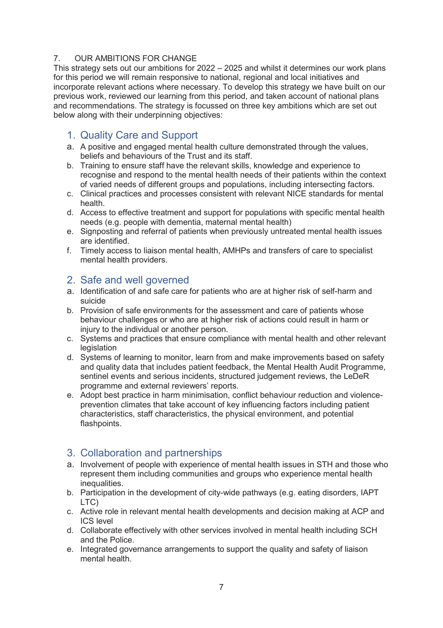#### 7. OUR AMBITIONS FOR CHANGE

This strategy sets out our ambitions for 2022 – 2025 and whilst it determines our work plans for this period we will remain responsive to national, regional and local initiatives and incorporate relevant actions where necessary. To develop this strategy we have built on our previous work, reviewed our learning from this period, and taken account of national plans and recommendations. The strategy is focussed on three key ambitions which are set out below along with their underpinning objectives:

## 1. Quality Care and Support

- a. A positive and engaged mental health culture demonstrated through the values, beliefs and behaviours of the Trust and its staff.
- b. Training to ensure staff have the relevant skills, knowledge and experience to recognise and respond to the mental health needs of their patients within the context of varied needs of different groups and populations, including intersecting factors.
- c. Clinical practices and processes consistent with relevant NICE standards for mental health.
- d. Access to effective treatment and support for populations with specific mental health needs (e.g. people with dementia, maternal mental health)
- e. Signposting and referral of patients when previously untreated mental health issues are identified.
- f. Timely access to liaison mental health, AMHPs and transfers of care to specialist mental health providers.

## 2. Safe and well governed

- a. Identification of and safe care for patients who are at higher risk of self-harm and suicide
- b. Provision of safe environments for the assessment and care of patients whose behaviour challenges or who are at higher risk of actions could result in harm or injury to the individual or another person.
- c. Systems and practices that ensure compliance with mental health and other relevant legislation
- d. Systems of learning to monitor, learn from and make improvements based on safety and quality data that includes patient feedback, the Mental Health Audit Programme, sentinel events and serious incidents, structured judgement reviews, the LeDeR programme and external reviewers' reports.
- e. Adopt best practice in harm minimisation, conflict behaviour reduction and violenceprevention climates that take account of key influencing factors including patient characteristics, staff characteristics, the physical environment, and potential flashpoints.

## 3. Collaboration and partnerships

- a. Involvement of people with experience of mental health issues in STH and those who represent them including communities and groups who experience mental health inequalities.
- b. Participation in the development of city-wide pathways (e.g. eating disorders, IAPT LTC)
- c. Active role in relevant mental health developments and decision making at ACP and ICS level
- d. Collaborate effectively with other services involved in mental health including SCH and the Police.
- e. Integrated governance arrangements to support the quality and safety of liaison mental health.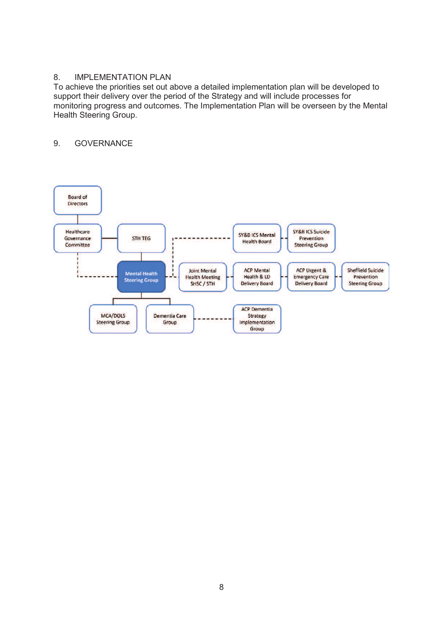#### 8. IMPLEMENTATION PLAN

To achieve the priorities set out above a detailed implementation plan will be developed to support their delivery over the period of the Strategy and will include processes for monitoring progress and outcomes. The Implementation Plan will be overseen by the Mental Health Steering Group.

#### 9. GOVERNANCE

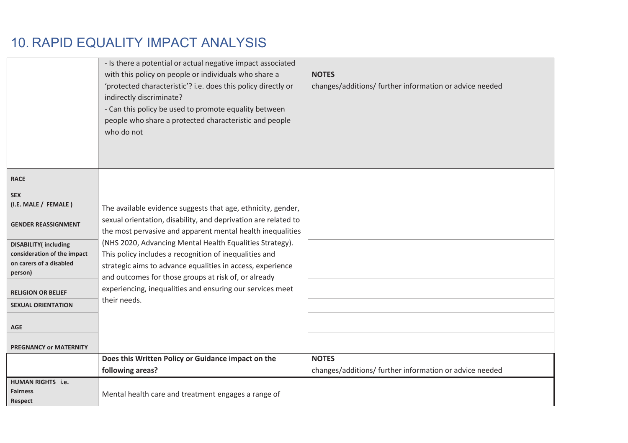# 10. RAPID EQUALITY IMPACT ANALYSIS

|                                                               | - Is there a potential or actual negative impact associated<br>with this policy on people or individuals who share a<br>'protected characteristic'? i.e. does this policy directly or<br>indirectly discriminate?<br>- Can this policy be used to promote equality between<br>people who share a protected characteristic and people | <b>NOTES</b><br>changes/additions/ further information or advice needed |
|---------------------------------------------------------------|--------------------------------------------------------------------------------------------------------------------------------------------------------------------------------------------------------------------------------------------------------------------------------------------------------------------------------------|-------------------------------------------------------------------------|
|                                                               | who do not                                                                                                                                                                                                                                                                                                                           |                                                                         |
| <b>RACE</b>                                                   |                                                                                                                                                                                                                                                                                                                                      |                                                                         |
| <b>SEX</b><br>(I.E. MALE / FEMALE)                            | The available evidence suggests that age, ethnicity, gender,                                                                                                                                                                                                                                                                         |                                                                         |
| <b>GENDER REASSIGNMENT</b>                                    | sexual orientation, disability, and deprivation are related to<br>the most pervasive and apparent mental health inequalities                                                                                                                                                                                                         |                                                                         |
| <b>DISABILITY</b> (including<br>consideration of the impact   | (NHS 2020, Advancing Mental Health Equalities Strategy).<br>This policy includes a recognition of inequalities and                                                                                                                                                                                                                   |                                                                         |
| on carers of a disabled<br>person)                            | strategic aims to advance equalities in access, experience<br>and outcomes for those groups at risk of, or already                                                                                                                                                                                                                   |                                                                         |
| <b>RELIGION OR BELIEF</b>                                     | experiencing, inequalities and ensuring our services meet                                                                                                                                                                                                                                                                            |                                                                         |
| <b>SEXUAL ORIENTATION</b>                                     | their needs.                                                                                                                                                                                                                                                                                                                         |                                                                         |
| <b>AGE</b>                                                    |                                                                                                                                                                                                                                                                                                                                      |                                                                         |
| <b>PREGNANCY or MATERNITY</b>                                 |                                                                                                                                                                                                                                                                                                                                      |                                                                         |
|                                                               | Does this Written Policy or Guidance impact on the<br>following areas?                                                                                                                                                                                                                                                               | <b>NOTES</b><br>changes/additions/ further information or advice needed |
| <b>HUMAN RIGHTS</b> i.e.<br><b>Fairness</b><br><b>Respect</b> | Mental health care and treatment engages a range of                                                                                                                                                                                                                                                                                  |                                                                         |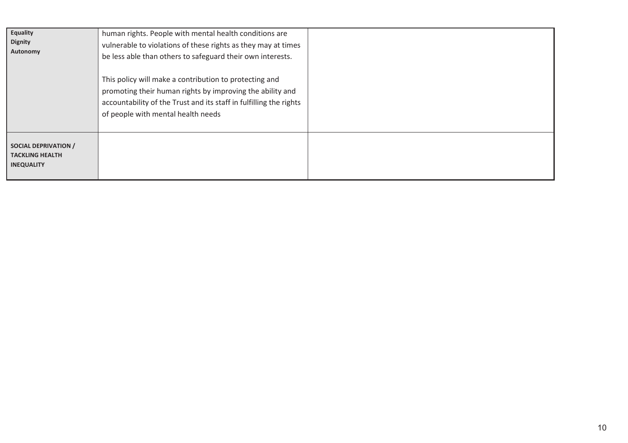| <b>Equality</b><br><b>Dignity</b><br>Autonomy                              | human rights. People with mental health conditions are<br>vulnerable to violations of these rights as they may at times<br>be less able than others to safeguard their own interests.<br>This policy will make a contribution to protecting and<br>promoting their human rights by improving the ability and<br>accountability of the Trust and its staff in fulfilling the rights<br>of people with mental health needs |  |
|----------------------------------------------------------------------------|--------------------------------------------------------------------------------------------------------------------------------------------------------------------------------------------------------------------------------------------------------------------------------------------------------------------------------------------------------------------------------------------------------------------------|--|
| <b>SOCIAL DEPRIVATION /</b><br><b>TACKLING HEALTH</b><br><b>INEQUALITY</b> |                                                                                                                                                                                                                                                                                                                                                                                                                          |  |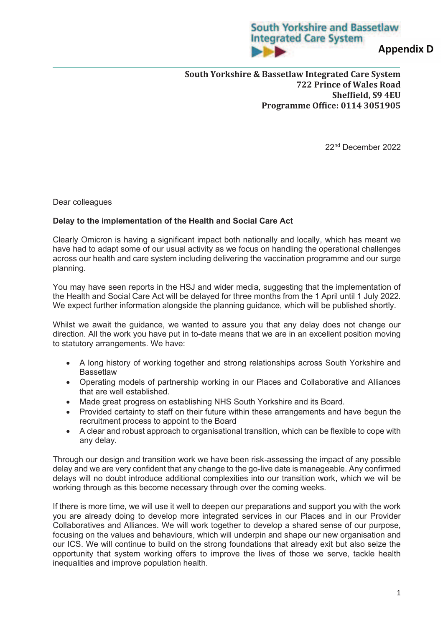# **South Yorkshire and Bassetlaw Integrated Care System**

**Appendix D** 

**South Yorkshire & Bassetlaw Integrated Care System 722 Prince of Wales Road Sheffield, S9 4EU Programme Office: 0114 3051905** 

22nd December 2022

Dear colleagues

#### **Delay to the implementation of the Health and Social Care Act**

Clearly Omicron is having a significant impact both nationally and locally, which has meant we have had to adapt some of our usual activity as we focus on handling the operational challenges across our health and care system including delivering the vaccination programme and our surge planning.

You may have seen reports in the HSJ and wider media, suggesting that the implementation of the Health and Social Care Act will be delayed for three months from the 1 April until 1 July 2022. We expect further information alongside the planning guidance, which will be published shortly.

Whilst we await the guidance, we wanted to assure you that any delay does not change our direction. All the work you have put in to-date means that we are in an excellent position moving to statutory arrangements. We have:

- · A long history of working together and strong relationships across South Yorkshire and **Bassetlaw**
- · Operating models of partnership working in our Places and Collaborative and Alliances that are well established.
- · Made great progress on establishing NHS South Yorkshire and its Board.
- · Provided certainty to staff on their future within these arrangements and have begun the recruitment process to appoint to the Board
- · A clear and robust approach to organisational transition, which can be flexible to cope with any delay.

Through our design and transition work we have been risk-assessing the impact of any possible delay and we are very confident that any change to the go-live date is manageable. Any confirmed delays will no doubt introduce additional complexities into our transition work, which we will be working through as this become necessary through over the coming weeks.

If there is more time, we will use it well to deepen our preparations and support you with the work you are already doing to develop more integrated services in our Places and in our Provider Collaboratives and Alliances. We will work together to develop a shared sense of our purpose, focusing on the values and behaviours, which will underpin and shape our new organisation and our ICS. We will continue to build on the strong foundations that already exit but also seize the opportunity that system working offers to improve the lives of those we serve, tackle health inequalities and improve population health.